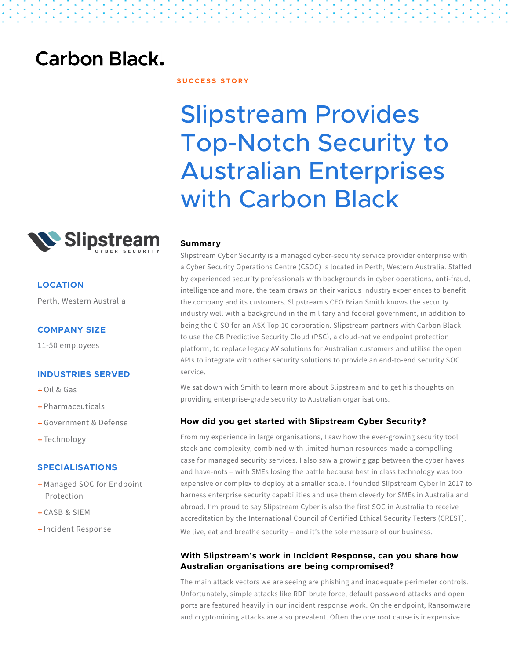# **Carbon Black.**



# **LOCATION**

Perth, Western Australia

# **COMPANY SIZE**

11-50 employees

#### **INDUSTRIES SERVED**

- $+$  Oil & Gas
- $+$ Pharmaceuticals
- + Government & Defense
- +Technology

### **SPECIALISATIONS**

- + Managed SOC for Endpoint Protection
- + CASB & SIEM
- + Incident Response

#### **S U C C E S S S T O R Y**

# Slipstream Provides Top-Notch Security to Australian Enterprises with Carbon Black

#### **Summary**

Slipstream Cyber Security is a managed cyber-security service provider enterprise with a Cyber Security Operations Centre (CSOC) is located in Perth, Western Australia. Staffed by experienced security professionals with backgrounds in cyber operations, anti-fraud, intelligence and more, the team draws on their various industry experiences to benefit the company and its customers. Slipstream's CEO Brian Smith knows the security industry well with a background in the military and federal government, in addition to being the CISO for an ASX Top 10 corporation. Slipstream partners with Carbon Black to use the CB Predictive Security Cloud (PSC), a cloud-native endpoint protection platform, to replace legacy AV solutions for Australian customers and utilise the open APIs to integrate with other security solutions to provide an end-to-end security SOC service.

We sat down with Smith to learn more about Slipstream and to get his thoughts on providing enterprise-grade security to Australian organisations.

#### **How did you get started with Slipstream Cyber Security?**

From my experience in large organisations, I saw how the ever-growing security tool stack and complexity, combined with limited human resources made a compelling case for managed security services. I also saw a growing gap between the cyber haves and have-nots – with SMEs losing the battle because best in class technology was too expensive or complex to deploy at a smaller scale. I founded Slipstream Cyber in 2017 to harness enterprise security capabilities and use them cleverly for SMEs in Australia and abroad. I'm proud to say Slipstream Cyber is also the first SOC in Australia to receive accreditation by the International Council of Certified Ethical Security Testers (CREST). We live, eat and breathe security - and it's the sole measure of our business.

# **With Slipstream's work in Incident Response, can you share how Australian organisations are being compromised?**

The main attack vectors we are seeing are phishing and inadequate perimeter controls. Unfortunately, simple attacks like RDP brute force, default password attacks and open ports are featured heavily in our incident response work. On the endpoint, Ransomware and cryptomining attacks are also prevalent. Often the one root cause is inexpensive